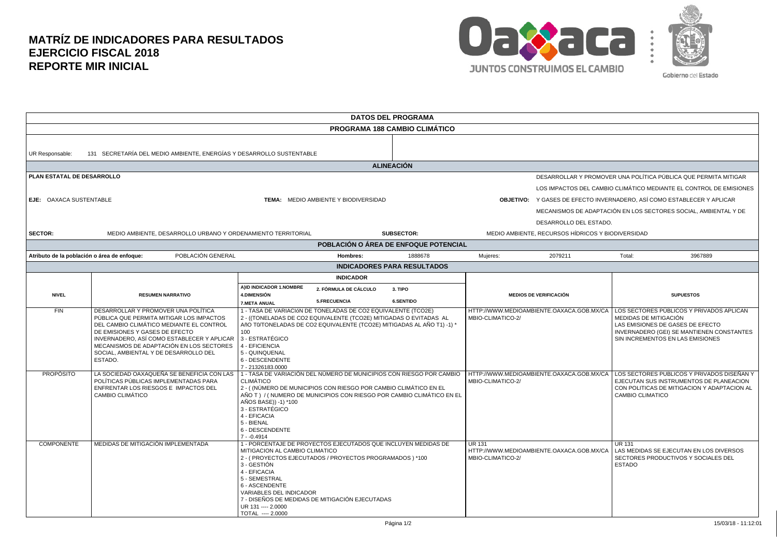## **MATRÍZ DE INDICADORES PARA RESULTADOS EJERCICIO FISCAL 2018 REPORTE MIR INICIAL**



| <b>DATOS DEL PROGRAMA</b>                   |                                                                                                                                                                                                                                                                                                             |                                                                                                                                                                        |                                                                                                                                                                                                               |                                                                       |                                                                    |                                                                               |                                                                                                                                                                                                                                                                                    |  |  |  |
|---------------------------------------------|-------------------------------------------------------------------------------------------------------------------------------------------------------------------------------------------------------------------------------------------------------------------------------------------------------------|------------------------------------------------------------------------------------------------------------------------------------------------------------------------|---------------------------------------------------------------------------------------------------------------------------------------------------------------------------------------------------------------|-----------------------------------------------------------------------|--------------------------------------------------------------------|-------------------------------------------------------------------------------|------------------------------------------------------------------------------------------------------------------------------------------------------------------------------------------------------------------------------------------------------------------------------------|--|--|--|
| <b>PROGRAMA 188 CAMBIO CLIMÁTICO</b>        |                                                                                                                                                                                                                                                                                                             |                                                                                                                                                                        |                                                                                                                                                                                                               |                                                                       |                                                                    |                                                                               |                                                                                                                                                                                                                                                                                    |  |  |  |
| UR Responsable:                             | 131 SECRETARÍA DEL MEDIO AMBIENTE, ENERGÍAS Y DESARROLLO SUSTENTABLE                                                                                                                                                                                                                                        |                                                                                                                                                                        |                                                                                                                                                                                                               |                                                                       |                                                                    |                                                                               |                                                                                                                                                                                                                                                                                    |  |  |  |
| <b>ALINEACIÓN</b>                           |                                                                                                                                                                                                                                                                                                             |                                                                                                                                                                        |                                                                                                                                                                                                               |                                                                       |                                                                    |                                                                               |                                                                                                                                                                                                                                                                                    |  |  |  |
| PLAN ESTATAL DE DESARROLLO                  |                                                                                                                                                                                                                                                                                                             |                                                                                                                                                                        |                                                                                                                                                                                                               |                                                                       |                                                                    | DESARROLLAR Y PROMOVER UNA POLÍTICA PÚBLICA QUE PERMITA MITIGAR               |                                                                                                                                                                                                                                                                                    |  |  |  |
|                                             |                                                                                                                                                                                                                                                                                                             |                                                                                                                                                                        |                                                                                                                                                                                                               |                                                                       | LOS IMPACTOS DEL CAMBIO CLIMÁTICO MEDIANTE EL CONTROL DE EMISIONES |                                                                               |                                                                                                                                                                                                                                                                                    |  |  |  |
| EJE: OAXACA SUSTENTABLE                     |                                                                                                                                                                                                                                                                                                             |                                                                                                                                                                        | TEMA: MEDIO AMBIENTE Y BIODIVERSIDAD                                                                                                                                                                          |                                                                       |                                                                    | <b>OBJETIVO:</b> Y GASES DE EFECTO INVERNADERO, ASÍ COMO ESTABLECER Y APLICAR |                                                                                                                                                                                                                                                                                    |  |  |  |
|                                             |                                                                                                                                                                                                                                                                                                             |                                                                                                                                                                        |                                                                                                                                                                                                               |                                                                       | MECANISMOS DE ADAPTACIÓN EN LOS SECTORES SOCIAL, AMBIENTAL Y DE    |                                                                               |                                                                                                                                                                                                                                                                                    |  |  |  |
|                                             |                                                                                                                                                                                                                                                                                                             |                                                                                                                                                                        |                                                                                                                                                                                                               |                                                                       | DESARROLLO DEL ESTADO.                                             |                                                                               |                                                                                                                                                                                                                                                                                    |  |  |  |
| <b>SECTOR:</b>                              | MEDIO AMBIENTE, DESARROLLO URBANO Y ORDENAMIENTO TERRITORIAL                                                                                                                                                                                                                                                |                                                                                                                                                                        |                                                                                                                                                                                                               | <b>SUBSECTOR:</b>                                                     |                                                                    | MEDIO AMBIENTE, RECURSOS HÍDRICOS Y BIODIVERSIDAD                             |                                                                                                                                                                                                                                                                                    |  |  |  |
|                                             |                                                                                                                                                                                                                                                                                                             |                                                                                                                                                                        |                                                                                                                                                                                                               | POBLACIÓN O ÁREA DE ENFOQUE POTENCIAL                                 |                                                                    |                                                                               |                                                                                                                                                                                                                                                                                    |  |  |  |
| Atributo de la población o área de enfoque: | POBLACIÓN GENERAL                                                                                                                                                                                                                                                                                           |                                                                                                                                                                        | Hombres:                                                                                                                                                                                                      | 1888678                                                               | Mujeres:                                                           | 2079211                                                                       | Total:<br>3967889                                                                                                                                                                                                                                                                  |  |  |  |
| <b>INDICADORES PARA RESULTADOS</b>          |                                                                                                                                                                                                                                                                                                             |                                                                                                                                                                        |                                                                                                                                                                                                               |                                                                       |                                                                    |                                                                               |                                                                                                                                                                                                                                                                                    |  |  |  |
|                                             |                                                                                                                                                                                                                                                                                                             |                                                                                                                                                                        | <b>INDICADOR</b>                                                                                                                                                                                              |                                                                       |                                                                    |                                                                               |                                                                                                                                                                                                                                                                                    |  |  |  |
| <b>NIVEL</b>                                | <b>RESUMEN NARRATIVO</b>                                                                                                                                                                                                                                                                                    | A)ID INDICADOR 1.NOMBRE<br><b>4.DIMENSIÓN</b>                                                                                                                          | 2. FÓRMULA DE CÁLCULO                                                                                                                                                                                         | 3. TIPO                                                               | <b>MEDIOS DE VERIFICACIÓN</b>                                      |                                                                               | <b>SUPUESTOS</b>                                                                                                                                                                                                                                                                   |  |  |  |
|                                             |                                                                                                                                                                                                                                                                                                             | <b>7.META ANUAL</b>                                                                                                                                                    | 5.FRECUENCIA                                                                                                                                                                                                  | <b>6.SENTIDO</b>                                                      |                                                                    |                                                                               |                                                                                                                                                                                                                                                                                    |  |  |  |
| FIN                                         | DESARROLLAR Y PROMOVER UNA POLÍTICA<br>PÚBLICA QUE PERMITA MITIGAR LOS IMPACTOS<br>DEL CAMBIO CLIMÁTICO MEDIANTE EL CONTROL<br>DE EMISIONES Y GASES DE EFECTO<br>INVERNADERO, ASÍ COMO ESTABLECER Y APLICAR<br>MECANISMOS DE ADAPTACIÓN EN LOS SECTORES<br>SOCIAL, AMBIENTAL Y DE DESARROLLO DEL<br>ESTADO. | 100<br>3 - ESTRATÉGICO<br>4 - EFICIENCIA<br>5 - QUINQUENAL<br>6 - DESCENDENTE<br>7 - 21326183.0000                                                                     | 1 - TASA DE VARIACIÓN DE TONELADAS DE CO2 EQUIVALENTE (TCO2E)<br>2 - ((TONELADAS DE CO2 EQUIVALENTE (TCO2E) MITIGADAS O EVITADAS AL<br>AñO T0/TONELADAS DE CO2 EQUIVALENTE (TCO2E) MITIGADAS AL AÑO T1) -1) * |                                                                       | MBIO-CLIMATICO-2/                                                  |                                                                               | HTTP://WWW.MEDIOAMBIENTE.OAXACA.GOB.MX/CA   LOS SECTORES PÚBLICOS Y PRIVADOS APLICAN<br>MEDIDAS DE MITIGACIÓN<br>LAS EMISIONES DE GASES DE EFECTO<br>INVERNADERO (GEI) SE MANTIENEN CONSTANTES<br>SIN INCREMENTOS EN LAS EMISIONES                                                 |  |  |  |
| <b>PROPÓSITO</b>                            | LA SOCIEDAD OAXAQUEÑA SE BENEFICIA CON LAS<br>POLÍTICAS PÚBLICAS IMPLEMENTADAS PARA<br>ENFRENTAR LOS RIESGOS E IMPACTOS DEL<br><b>CAMBIO CLIMÁTICO</b>                                                                                                                                                      | CLIMÁTICO<br>AÑOS BASE)) -1) *100<br>3 - ESTRATÉGICO<br>4 - EFICACIA<br>5 - BIENAL<br>6 - DESCENDENTE<br>$7 - 0.4914$                                                  | 2 - ((NÚMERO DE MUNICIPIOS CON RIESGO POR CAMBIO CLIMÁTICO EN EL                                                                                                                                              | AÑO T ) / (NUMERO DE MUNICIPIOS CON RIESGO POR CAMBIO CLIMÁTICO EN EL | MBIO-CLIMATICO-2/                                                  |                                                                               | 1 - TASA DE VARIACIÓN DEL NÚMERO DE MUNICIPIOS CON RIESGO POR CAMBIO   HTTP://WWW.MEDIOAMBIENTE.OAXACA.GOB.MX/CA   LOS SECTORES PUBLICOS Y PRIVADOS DISEÑAN Y<br>EJECUTAN SUS INSTRUMENTOS DE PLANEACION<br>CON POLITICAS DE MITIGACION Y ADAPTACION AL<br><b>CAMBIO CLIMATICO</b> |  |  |  |
| <b>COMPONENTE</b>                           | MEDIDAS DE MITIGACIÓN IMPLEMENTADA                                                                                                                                                                                                                                                                          | MITIGACION AL CAMBIO CLIMATICO<br>3 - GESTIÓN<br>4 - EFICACIA<br>5 - SEMESTRAL<br>6 - ASCENDENTE<br>VARIABLES DEL INDICADOR<br>UR 131 ---- 2.0000<br>TOTAL ---- 2.0000 | 1 - PORCENTAJE DE PROYECTOS EJECUTADOS QUE INCLUYEN MEDIDAS DE<br>2 - (PROYECTOS EJECUTADOS / PROYECTOS PROGRAMADOS ) *100<br>7 - DISEÑOS DE MEDIDAS DE MITIGACIÓN EJECUTADAS                                 |                                                                       | <b>UR 131</b><br>MBIO-CLIMATICO-2/                                 | HTTP://WWW.MEDIOAMBIENTE.OAXACA.GOB.MX/CA                                     | <b>UR 131</b><br>LAS MEDIDAS SE EJECUTAN EN LOS DIVERSOS<br>SECTORES PRODUCTIVOS Y SOCIALES DEL<br><b>ESTADO</b>                                                                                                                                                                   |  |  |  |